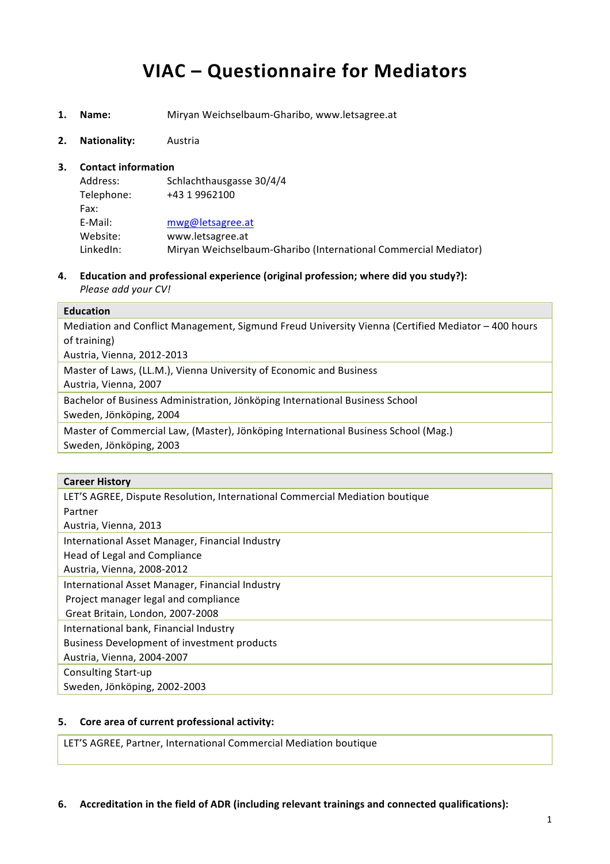# **VIAC – Questionnaire for Mediators**

- **1. Name:** Miryan Weichselbaum-Gharibo, www.letsagree.at
- **2. Nationality:** Austria

### **3.** Contact information

| Address:   | Schlachthausgasse 30/4/4                                        |
|------------|-----------------------------------------------------------------|
| Telephone: | +43 1 9962100                                                   |
| Fax:       |                                                                 |
| E-Mail:    | mwg@letsagree.at                                                |
| Website:   | www.letsagree.at                                                |
| LinkedIn:  | Miryan Weichselbaum-Gharibo (International Commercial Mediator) |

**4. Education and professional experience (original profession; where did you study?):** *Please add your CV!*

## **Education**

Mediation and Conflict Management, Sigmund Freud University Vienna (Certified Mediator – 400 hours of training) Austria, Vienna, 2012-2013

Master of Laws, (LL.M.), Vienna University of Economic and Business Austria, Vienna, 2007 Bachelor of Business Administration, Jönköping International Business School

Sweden, Jönköping, 2004

Master of Commercial Law, (Master), Jönköping International Business School (Mag.) Sweden, Jönköping, 2003

#### **Career History**

## **5.** Core area of current professional activity:

LET'S AGREE, Partner, International Commercial Mediation boutique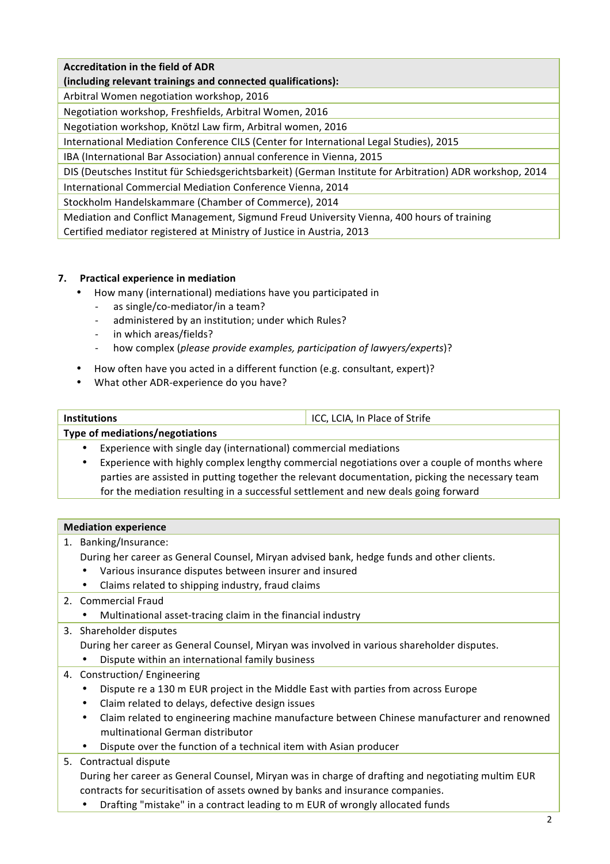# **Accreditation in the field of ADR**

(including relevant trainings and connected qualifications):

Arbitral Women negotiation workshop, 2016

Negotiation workshop, Freshfields, Arbitral Women, 2016

Negotiation workshop, Knötzl Law firm, Arbitral women, 2016

International Mediation Conference CILS (Center for International Legal Studies), 2015

IBA (International Bar Association) annual conference in Vienna, 2015

DIS (Deutsches Institut für Schiedsgerichtsbarkeit) (German Institute for Arbitration) ADR workshop, 2014

International Commercial Mediation Conference Vienna, 2014

Stockholm Handelskammare (Chamber of Commerce), 2014

Mediation and Conflict Management, Sigmund Freud University Vienna, 400 hours of training Certified mediator registered at Ministry of Justice in Austria, 2013

## **7. Practical experience in mediation**

- How many (international) mediations have you participated in
	- as single/co-mediator/in a team?
	- administered by an institution; under which Rules?
	- in which areas/fields?
	- how complex (*please provide examples, participation of lawyers/experts*)?
- How often have you acted in a different function (e.g. consultant, expert)?
- What other ADR-experience do you have?

| <b>Institutions</b> | ICC, LCIA, In Place of Strife |
|---------------------|-------------------------------|

## **Type of mediations/negotiations**

- Experience with single day (international) commercial mediations
- Experience with highly complex lengthy commercial negotiations over a couple of months where parties are assisted in putting together the relevant documentation, picking the necessary team for the mediation resulting in a successful settlement and new deals going forward

## **Mediation experience**

1. Banking/Insurance:

During her career as General Counsel, Miryan advised bank, hedge funds and other clients.

- Various insurance disputes between insurer and insured
- Claims related to shipping industry, fraud claims
- 2. Commercial Fraud
	- Multinational asset-tracing claim in the financial industry
- 3. Shareholder disputes
	- During her career as General Counsel, Miryan was involved in various shareholder disputes.
	- Dispute within an international family business
- 4. Construction/ Engineering
	- Dispute re a 130 m EUR project in the Middle East with parties from across Europe
	- Claim related to delays, defective design issues
	- Claim related to engineering machine manufacture between Chinese manufacturer and renowned multinational German distributor
	- Dispute over the function of a technical item with Asian producer

# 5. Contractual dispute

During her career as General Counsel, Miryan was in charge of drafting and negotiating multim EUR contracts for securitisation of assets owned by banks and insurance companies.

Drafting "mistake" in a contract leading to m EUR of wrongly allocated funds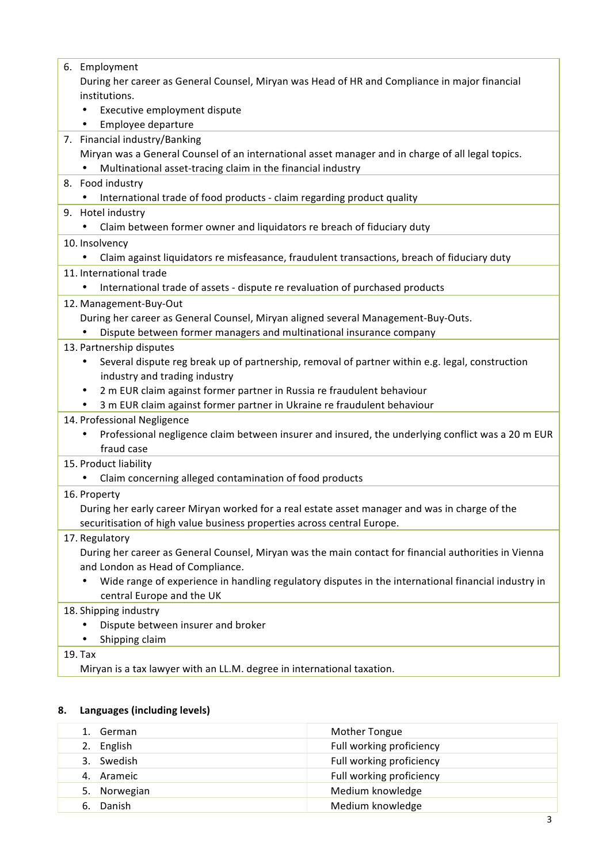# **8. Languages (including levels)**

| German       | Mother Tongue            |
|--------------|--------------------------|
| 2. English   | Full working proficiency |
| 3. Swedish   | Full working proficiency |
| 4. Arameic   | Full working proficiency |
| 5. Norwegian | Medium knowledge         |
| Danish<br>6. | Medium knowledge         |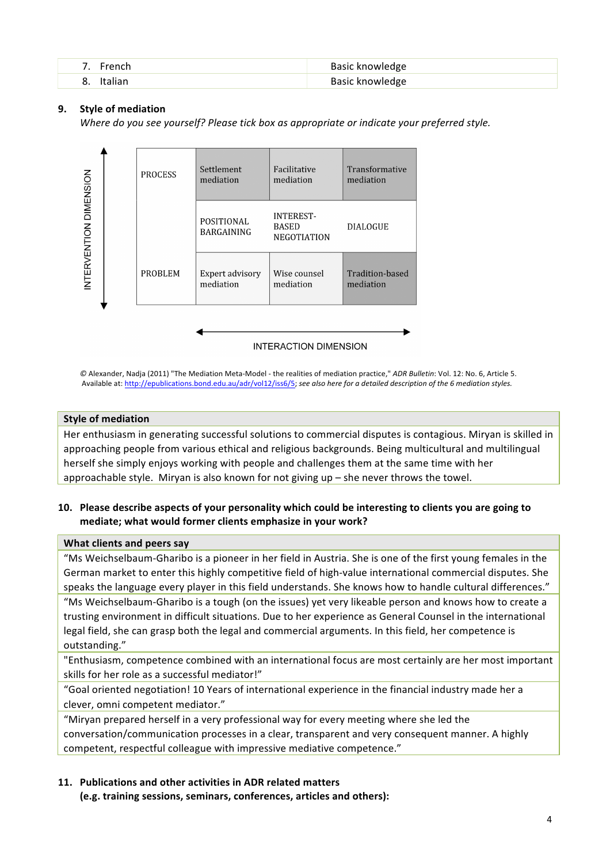| 7. French    | Basic knowledge |
|--------------|-----------------|
| o<br>Italian | Basic knowledge |

## **9.** Style of mediation

*Where do you see yourself? Please tick box as appropriate or indicate your preferred style.* 



 $\heartsuit$  Alexander, Nadja (2011) "The Mediation Meta-Model - the realities of mediation practice," *ADR Bulletin*: Vol. 12: No. 6, Article 5. Available at: http://epublications.bond.edu.au/adr/vol12/iss6/5; see also here for a detailed description of the 6 mediation styles.

#### **Style of mediation**

Her enthusiasm in generating successful solutions to commercial disputes is contagious. Miryan is skilled in approaching people from various ethical and religious backgrounds. Being multicultural and multilingual herself she simply enjoys working with people and challenges them at the same time with her approachable style. Miryan is also known for not giving up  $-$  she never throws the towel.

## **10.** Please describe aspects of your personality which could be interesting to clients you are going to **mediate: what would former clients emphasize in your work?**

#### **What clients and peers say**

"Ms Weichselbaum-Gharibo is a pioneer in her field in Austria. She is one of the first voung females in the German market to enter this highly competitive field of high-value international commercial disputes. She speaks the language every player in this field understands. She knows how to handle cultural differences." "Ms Weichselbaum-Gharibo is a tough (on the issues) yet very likeable person and knows how to create a trusting environment in difficult situations. Due to her experience as General Counsel in the international legal field, she can grasp both the legal and commercial arguments. In this field, her competence is outstanding."

"Enthusiasm, competence combined with an international focus are most certainly are her most important skills for her role as a successful mediator!"

"Goal oriented negotiation! 10 Years of international experience in the financial industry made her a clever, omni competent mediator."

"Miryan prepared herself in a very professional way for every meeting where she led the conversation/communication processes in a clear, transparent and very consequent manner. A highly competent, respectful colleague with impressive mediative competence."

## **11. Publications and other activities in ADR related matters**

(e.g. training sessions, seminars, conferences, articles and others):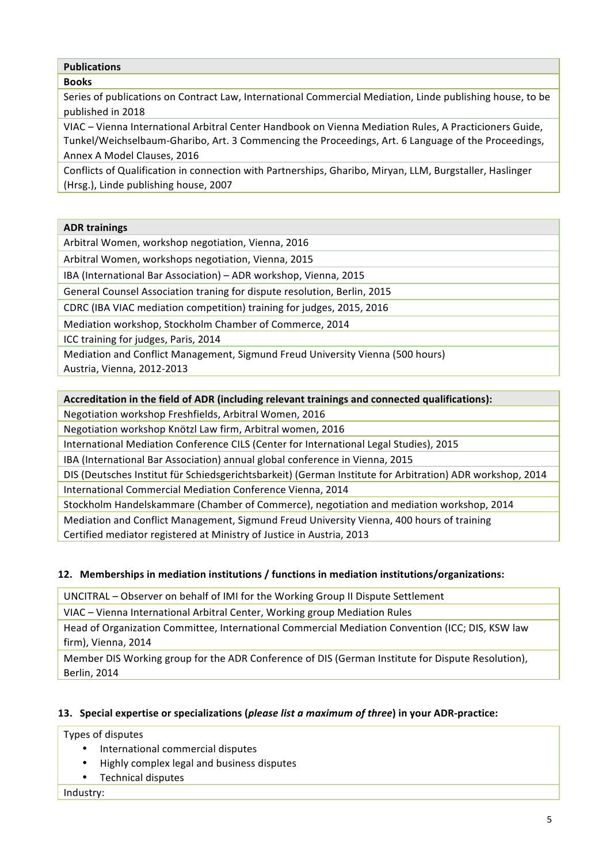# **Publications**

# **Books**

Series of publications on Contract Law, International Commercial Mediation, Linde publishing house, to be published in 2018

VIAC – Vienna International Arbitral Center Handbook on Vienna Mediation Rules, A Practicioners Guide, Tunkel/Weichselbaum-Gharibo, Art. 3 Commencing the Proceedings, Art. 6 Language of the Proceedings, Annex A Model Clauses, 2016

Conflicts of Qualification in connection with Partnerships, Gharibo, Miryan, LLM, Burgstaller, Haslinger (Hrsg.), Linde publishing house, 2007

# **ADR trainings**

Arbitral Women, workshop negotiation, Vienna, 2016

Arbitral Women, workshops negotiation, Vienna, 2015

IBA (International Bar Association) - ADR workshop, Vienna, 2015

General Counsel Association traning for dispute resolution, Berlin, 2015

CDRC (IBA VIAC mediation competition) training for judges, 2015, 2016

Mediation workshop, Stockholm Chamber of Commerce, 2014

ICC training for judges, Paris, 2014

Mediation and Conflict Management, Sigmund Freud University Vienna (500 hours)

Austria, Vienna, 2012-2013

# Accreditation in the field of ADR (including relevant trainings and connected qualifications):

Negotiation workshop Freshfields, Arbitral Women, 2016

Negotiation workshop Knötzl Law firm, Arbitral women, 2016

International Mediation Conference CILS (Center for International Legal Studies), 2015

IBA (International Bar Association) annual global conference in Vienna, 2015

DIS (Deutsches Institut für Schiedsgerichtsbarkeit) (German Institute for Arbitration) ADR workshop, 2014 International Commercial Mediation Conference Vienna, 2014

Stockholm Handelskammare (Chamber of Commerce), negotiation and mediation workshop, 2014

Mediation and Conflict Management, Sigmund Freud University Vienna, 400 hours of training Certified mediator registered at Ministry of Justice in Austria, 2013

# **12. Memberships in mediation institutions / functions in mediation institutions/organizations:**

UNCITRAL - Observer on behalf of IMI for the Working Group II Dispute Settlement

VIAC – Vienna International Arbitral Center, Working group Mediation Rules

Head of Organization Committee, International Commercial Mediation Convention (ICC; DIS, KSW law firm), Vienna, 2014

Member DIS Working group for the ADR Conference of DIS (German Institute for Dispute Resolution), **Berlin, 2014** 

# **13.** Special expertise or specializations (*please list a maximum of three*) in your ADR-practice:

Types of disputes

- International commercial disputes
- Highly complex legal and business disputes
- Technical disputes

Industry: